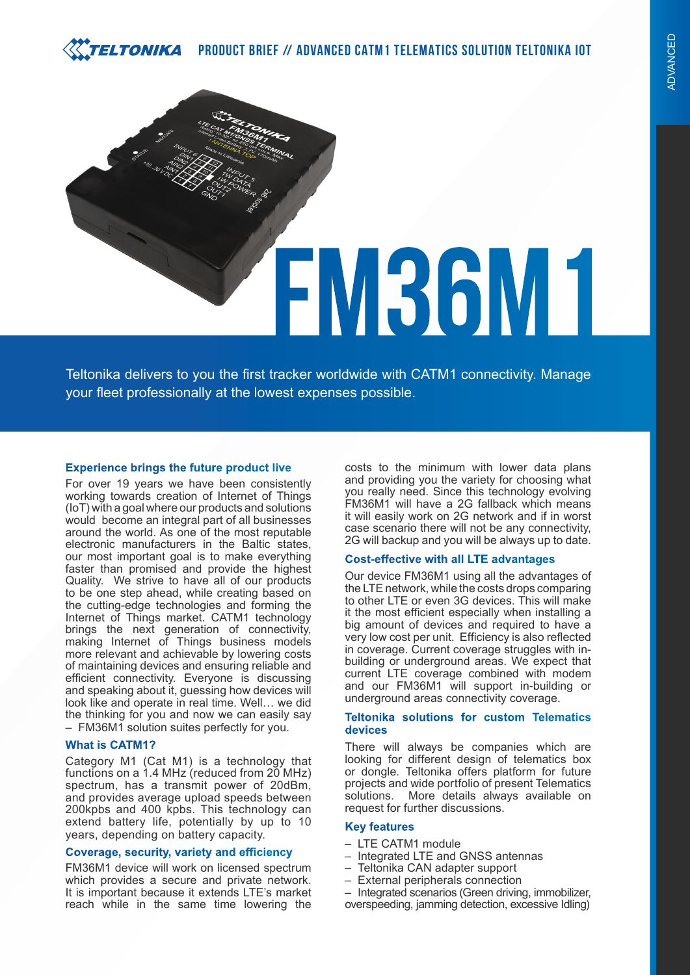#### TELTONIKA  **PRODUCT BRIEF // ADVANCED CATM1 TELEMATICS SOLUTION TELTONIKA IOT**



Teltonika delivers to you the first tracker worldwide with CATM1 connectivity. Manage your fleet professionally at the lowest expenses possible.

## **Experience brings the future product live**

For over 19 years we have been consistently working towards creation of Internet of Things (IoT) with a goal where our products and solutions would become an integral part of all businesses around the world. As one of the most reputable electronic manufacturers in the Baltic states, our most important goal is to make everything faster than promised and provide the highest Quality. We strive to have all of our products to be one step ahead, while creating based on the cutting-edge technologies and forming the Internet of Things market. CATM1 technology brings the next generation of connectivity, making Internet of Things business models more relevant and achievable by lowering costs of maintaining devices and ensuring reliable and efficient connectivity. Everyone is discussing and speaking about it, guessing how devices will look like and operate in real time. Well… we did the thinking for you and now we can easily say – FM36M1 solution suites perfectly for you.

## **What is CATM1?**

Category M1 (Cat M1) is a technology that functions on a 1.4 MHz (reduced from 20 MHz) spectrum, has a transmit power of 20dBm, and provides average upload speeds between 200kpbs and 400 kpbs. This technology can extend battery life, potentially by up to 10 years, depending on battery capacity.

### **Coverage, security, variety and efficiency**

FM36M1 device will work on licensed spectrum which provides a secure and private network. It is important because it extends LTE's market reach while in the same time lowering the costs to the minimum with lower data plans and providing you the variety for choosing what you really need. Since this technology evolving FM36M1 will have a 2G fallback which means it will easily work on 2G network and if in worst case scenario there will not be any connectivity, 2G will backup and you will be always up to date.

#### **Cost-effective with all LTE advantages**

Our device FM36M1 using all the advantages of the LTE network, while the costs drops comparing to other LTE or even 3G devices. This will make it the most efficient especially when installing a big amount of devices and required to have a very low cost per unit. Efficiency is also reflected in coverage. Current coverage struggles with inbuilding or underground areas. We expect that current LTE coverage combined with modem and our FM36M1 will support in-building or underground areas connectivity coverage.

## **Teltonika solutions for custom Telematics devices**

There will always be companies which are looking for different design of telematics box or dongle. Teltonika offers platform for future projects and wide portfolio of present Telematics solutions. More details always available on request for further discussions.

#### **Key features**

- LTE CATM1 module
- Integrated LTE and GNSS antennas
- Teltonika CAN adapter support
- External peripherals connection
- Integrated scenarios (Green driving, immobilizer, overspeeding, jamming detection, excessive Idling)